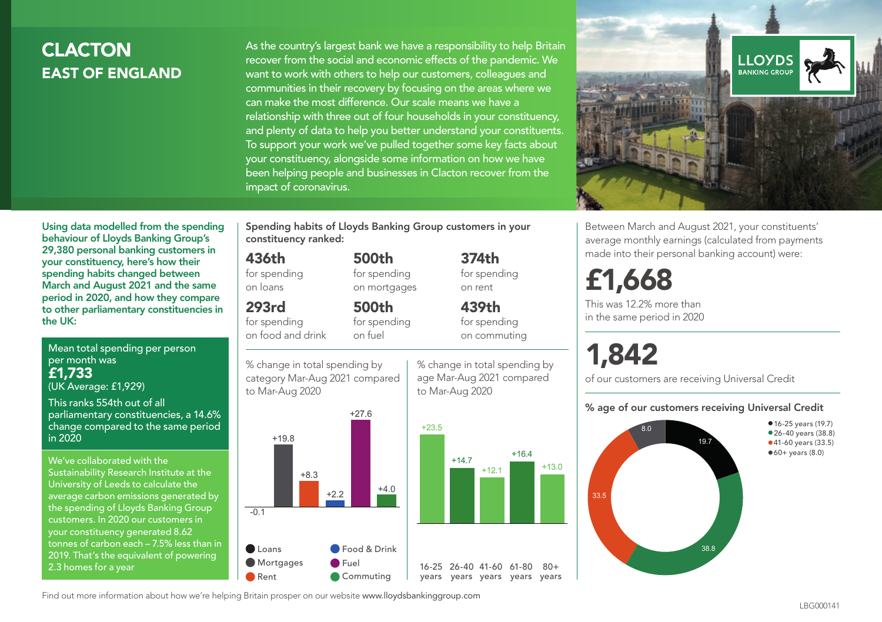## **CLACTON** EAST OF ENGLAND

As the country's largest bank we have a responsibility to help Britain recover from the social and economic effects of the pandemic. We want to work with others to help our customers, colleagues and communities in their recovery by focusing on the areas where we can make the most difference. Our scale means we have a relationship with three out of four households in your constituency, and plenty of data to help you better understand your constituents. To support your work we've pulled together some key facts about your constituency, alongside some information on how we have been helping people and businesses in Clacton recover from the impact of coronavirus.



Between March and August 2021, your constituents' average monthly earnings (calculated from payments made into their personal banking account) were:

## £1,668

This was 12.2% more than in the same period in 2020

# 1,842

of our customers are receiving Universal Credit

#### % age of our customers receiving Universal Credit



Using data modelled from the spending behaviour of Lloyds Banking Group's 29,380 personal banking customers in your constituency, here's how their spending habits changed between March and August 2021 and the same period in 2020, and how they compare to other parliamentary constituencies in the UK:

Mean total spending per person per month was £1,733 (UK Average: £1,929)

This ranks 554th out of all parliamentary constituencies, a 14.6% change compared to the same period in 2020

We've collaborated with the Sustainability Research Institute at the University of Leeds to calculate the average carbon emissions generated by the spending of Lloyds Banking Group customers. In 2020 our customers in your constituency generated 8.62 tonnes of carbon each – 7.5% less than in 2019. That's the equivalent of powering 2.3 homes for a year

Spending habits of Lloyds Banking Group customers in your constituency ranked:

> 500th for spending on mortgages

500th

#### 436th

for spending on loans

#### 293rd

for spending on food and drink

for spending on fuel





% change in total spending by age Mar-Aug 2021 compared to Mar-Aug 2020

374th for spending on rent

### 439th for spending

on commuting

+16.4

 $+13.0$ 

 $80 +$ 

Find out more information about how we're helping Britain prosper on our website www.lloydsbankinggroup.com